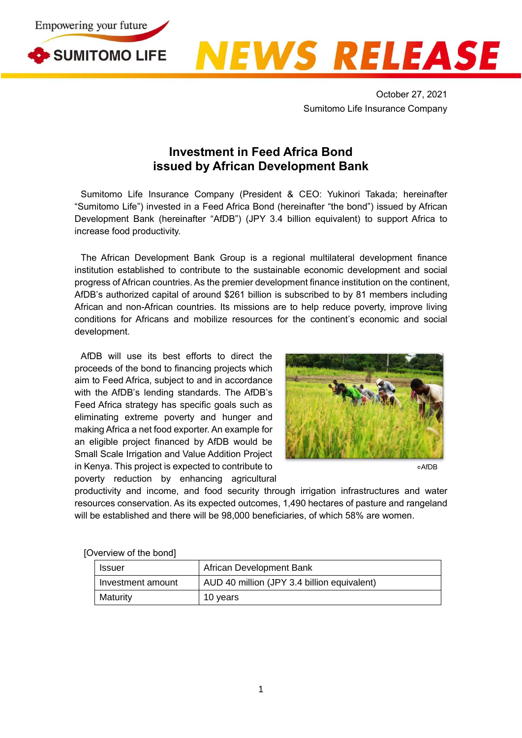



October 27, 2021 Sumitomo Life Insurance Company

## **Investment in Feed Africa Bond issued by African Development Bank**

Sumitomo Life Insurance Company (President & CEO: Yukinori Takada; hereinafter "Sumitomo Life") invested in a Feed Africa Bond (hereinafter "the bond") issued by African Development Bank (hereinafter "AfDB") (JPY 3.4 billion equivalent) to support Africa to increase food productivity.

The African Development Bank Group is a regional multilateral development finance institution established to contribute to the sustainable economic development and social progress of African countries. As the premier development finance institution on the continent, AfDB's authorized capital of around \$261 billion is subscribed to by 81 members including African and non-African countries. Its missions are to help reduce poverty, improve living conditions for Africans and mobilize resources for the continent's economic and social development.

AfDB will use its best efforts to direct the proceeds of the bond to financing projects which aim to Feed Africa, subject to and in accordance with the AfDB's lending standards. The AfDB's Feed Africa strategy has specific goals such as eliminating extreme poverty and hunger and making Africa a net food exporter. An example for an eligible project financed by AfDB would be Small Scale Irrigation and Value Addition Project in Kenya. This project is expected to contribute to poverty reduction by enhancing agricultural



○cAfDB

productivity and income, and food security through irrigation infrastructures and water resources conservation. As its expected outcomes, 1,490 hectares of pasture and rangeland will be established and there will be 98,000 beneficiaries, of which 58% are women.

| <b>Issuer</b>     | African Development Bank                    |
|-------------------|---------------------------------------------|
| Investment amount | AUD 40 million (JPY 3.4 billion equivalent) |
| Maturity          | 10 years                                    |

[Overview of the bond]